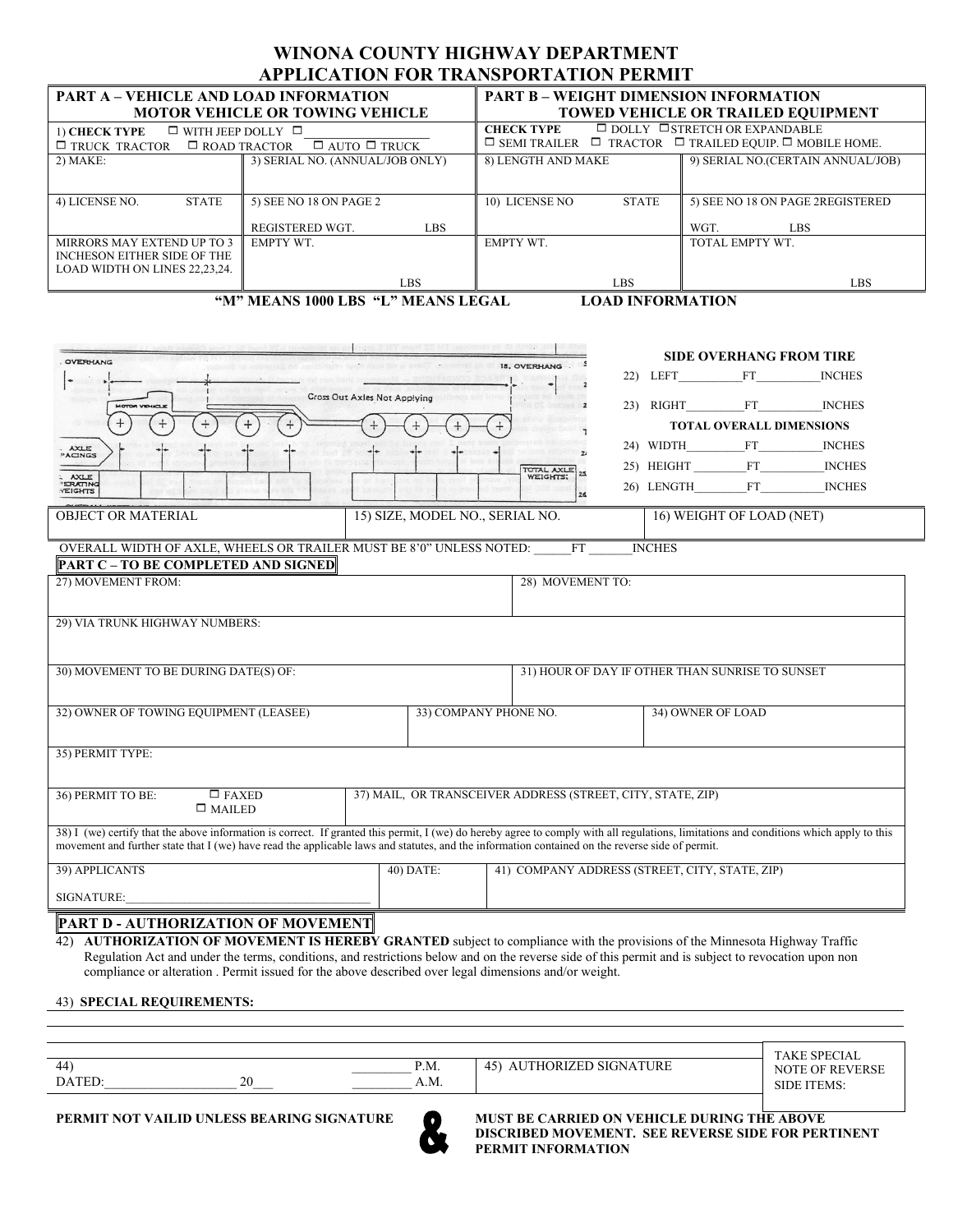## **WINONA COUNTY HIGHWAY DEPARTMENT APPLICATION FOR TRANSPORTATION PERMIT**

| <b>PART A - VEHICLE AND LOAD INFORMATION</b>                            |                                 | <b>PART B - WEIGHT DIMENSION INFORMATION</b>                                 |                                   |  |  |  |  |
|-------------------------------------------------------------------------|---------------------------------|------------------------------------------------------------------------------|-----------------------------------|--|--|--|--|
| <b>MOTOR VEHICLE OR TOWING VEHICLE</b>                                  |                                 | <b>TOWED VEHICLE OR TRAILED EQUIPMENT</b>                                    |                                   |  |  |  |  |
| $\Box$ WITH JEEP DOLLY $\Box$<br>1) CHECK TYPE                          |                                 | $\Box$ DOLLY $\Box$ STRETCH OR EXPANDABLE<br><b>CHECK TYPE</b>               |                                   |  |  |  |  |
| $\Box$ AUTO $\Box$ TRUCK<br>$\Box$ ROAD TRACTOR<br>$\Box$ TRUCK TRACTOR |                                 | $\Box$ SEMI TRAILER $\Box$ TRACTOR $\Box$ TRAILED EQUIP. $\Box$ MOBILE HOME. |                                   |  |  |  |  |
| $2)$ MAKE:                                                              | 3) SERIAL NO. (ANNUAL/JOB ONLY) | 8) LENGTH AND MAKE                                                           | 9) SERIAL NO.(CERTAIN ANNUAL/JOB) |  |  |  |  |
|                                                                         |                                 |                                                                              |                                   |  |  |  |  |
|                                                                         |                                 |                                                                              |                                   |  |  |  |  |
| <b>STATE</b><br>4) LICENSE NO.                                          | 5) SEE NO 18 ON PAGE 2          | <b>STATE</b><br>10) LICENSE NO                                               | 5) SEE NO 18 ON PAGE 2REGISTERED  |  |  |  |  |
|                                                                         |                                 |                                                                              |                                   |  |  |  |  |
|                                                                         | REGISTERED WGT.<br>LBS          |                                                                              | WGT.<br>LBS.                      |  |  |  |  |
| MIRRORS MAY EXTEND UP TO 3                                              | <b>EMPTY WT</b>                 | <b>EMPTY WT</b>                                                              | TOTAL EMPTY WT.                   |  |  |  |  |
| INCHESON EITHER SIDE OF THE                                             |                                 |                                                                              |                                   |  |  |  |  |
| LOAD WIDTH ON LINES 22,23,24.                                           |                                 |                                                                              |                                   |  |  |  |  |
|                                                                         | LBS                             | LBS                                                                          | LBS                               |  |  |  |  |

**"M" MEANS 1000 LBS "L" MEANS LEGAL LOAD INFORMATION**

| <b>OVERHANG</b><br><b>MOTOR VIOLICLE</b>                                                                                                                                                                                                                                                                                                   | Cross Out Axles Not Applying                                | 18. OVERHANG                        | <b>SIDE OVERHANG FROM TIRE</b><br>22) LEFT FT<br><b>INCHES</b><br>23) RIGHT FT<br><b>INCHES</b><br><b>TOTAL OVERALL DIMENSIONS</b> |  |  |  |
|--------------------------------------------------------------------------------------------------------------------------------------------------------------------------------------------------------------------------------------------------------------------------------------------------------------------------------------------|-------------------------------------------------------------|-------------------------------------|------------------------------------------------------------------------------------------------------------------------------------|--|--|--|
| <b>AXLE</b><br>PACINGS<br><b>AXLE</b><br>ERATING<br>YEIGHTS<br><b>OBJECT OR MATERIAL</b>                                                                                                                                                                                                                                                   | 15) SIZE, MODEL NO., SERIAL NO.                             | <b>TOTAL AXLE</b><br>WEIGHTS:<br>26 | 24) WIDTH FT<br><b>INCHES</b><br>25) HEIGHT FT<br><b>INCHES</b><br>26) LENGTH FT<br><b>INCHES</b><br>16) WEIGHT OF LOAD (NET)      |  |  |  |
| OVERALL WIDTH OF AXLE, WHEELS OR TRAILER MUST BE 8'0" UNLESS NOTED: FT<br><b>INCHES</b><br><b>PART C - TO BE COMPLETED AND SIGNED</b><br>27) MOVEMENT FROM:                                                                                                                                                                                |                                                             |                                     |                                                                                                                                    |  |  |  |
| 29) VIA TRUNK HIGHWAY NUMBERS:<br>30) MOVEMENT TO BE DURING DATE(S) OF:                                                                                                                                                                                                                                                                    |                                                             | 28) MOVEMENT TO:                    | 31) HOUR OF DAY IF OTHER THAN SUNRISE TO SUNSET                                                                                    |  |  |  |
| 32) OWNER OF TOWING EQUIPMENT (LEASEE)                                                                                                                                                                                                                                                                                                     | 33) COMPANY PHONE NO.                                       |                                     | 34) OWNER OF LOAD                                                                                                                  |  |  |  |
| 35) PERMIT TYPE:                                                                                                                                                                                                                                                                                                                           |                                                             |                                     |                                                                                                                                    |  |  |  |
| $\square$ FAXED<br>36) PERMIT TO BE:<br>$\square$ MAILED                                                                                                                                                                                                                                                                                   | 37) MAIL, OR TRANSCEIVER ADDRESS (STREET, CITY, STATE, ZIP) |                                     |                                                                                                                                    |  |  |  |
| 38) I (we) certify that the above information is correct. If granted this permit, I (we) do hereby agree to comply with all regulations, limitations and conditions which apply to this<br>movement and further state that I (we) have read the applicable laws and statutes, and the information contained on the reverse side of permit. |                                                             |                                     |                                                                                                                                    |  |  |  |
| 39) APPLICANTS<br>SIGNATURE:                                                                                                                                                                                                                                                                                                               | 40) DATE:                                                   |                                     | 41) COMPANY ADDRESS (STREET, CITY, STATE, ZIP)                                                                                     |  |  |  |
| <b>PART D - AUTHORIZATION OF MOVEMENT</b><br>(1) A HTHODIZATION OF MOVEMENT IS HEDEDV CDANTED subject to compliance with the provisions of the Minnesote Highway Traffic                                                                                                                                                                   |                                                             |                                     |                                                                                                                                    |  |  |  |

42) **AUTHORIZATION OF MOVEMENT IS HEREBY GRANTED** subject to compliance with the provisions of the Minnesota Highway Traffic Regulation Act and under the terms, conditions, and restrictions below and on the reverse side of this permit and is subject to revocation upon non compliance or alteration . Permit issued for the above described over legal dimensions and/or weight.

43) **SPECIAL REQUIREMENTS:**

|                                                                    | `I A                                                                 |                              |
|--------------------------------------------------------------------|----------------------------------------------------------------------|------------------------------|
| D <sub>M</sub><br>44<br>. IVI.<br>$\sim$ $\sim$                    | <b>TIDE</b><br>$\sim$ $\sim$ $\sim$ $\sim$<br>-4*<br>UKL<br>T N<br>⊤ | <b>EVERSI</b><br>. )F<br>NU. |
| $\gamma$<br><b>CONTRACT</b><br>A.M.<br>-4V<br>$\sim$ $\sim$ $\sim$ |                                                                      | IF<br>I EMD<br>$\sim$ $\sim$ |



**PERMIT NOT VAILID UNLESS BEARING SIGNATURE MUST BE CARRIED ON VEHICLE DURING THE ABOVE DISCRIBED MOVEMENT. SEE REVERSE SIDE FOR PERTINENT PERMIT INFORMATION**